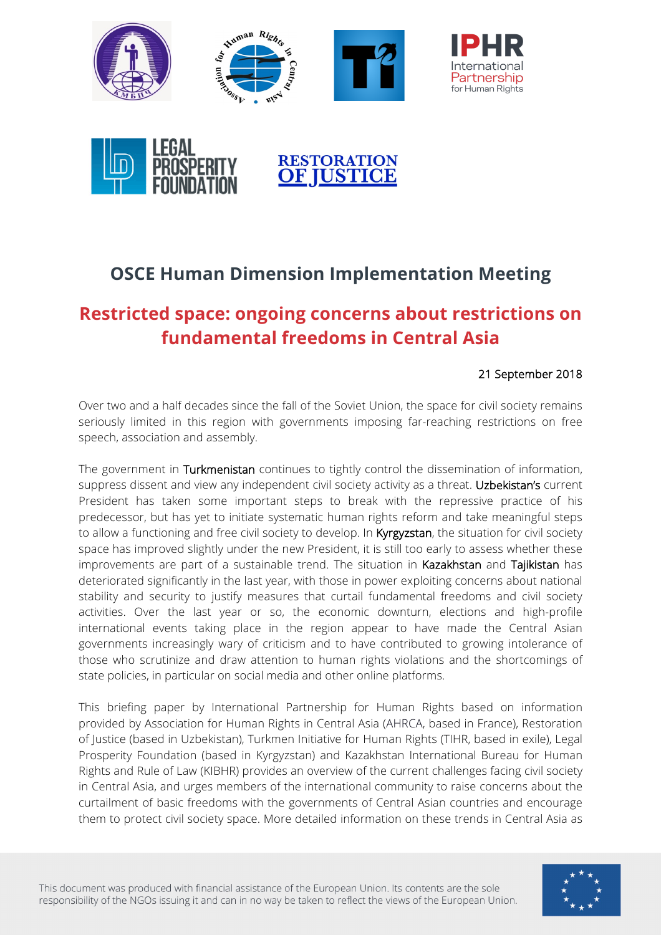



# **OSCE Human Dimension Implementation Meeting**

# **Restricted space: ongoing concerns about restrictions on fundamental freedoms in Central Asia**

### 21 September 2018

Over two and a half decades since the fall of the Soviet Union, the space for civil society remains seriously limited in this region with governments imposing far-reaching restrictions on free speech, association and assembly.

The government in Turkmenistan continues to tightly control the dissemination of information, suppress dissent and view any independent civil society activity as a threat. Uzbekistan's current President has taken some important steps to break with the repressive practice of his predecessor, but has yet to initiate systematic human rights reform and take meaningful steps to allow a functioning and free civil society to develop. In Kyrgyzstan, the situation for civil society space has improved slightly under the new President, it is still too early to assess whether these improvements are part of a sustainable trend. The situation in Kazakhstan and Tajikistan has deteriorated significantly in the last year, with those in power exploiting concerns about national stability and security to justify measures that curtail fundamental freedoms and civil society activities. Over the last year or so, the economic downturn, elections and high-profile international events taking place in the region appear to have made the Central Asian governments increasingly wary of criticism and to have contributed to growing intolerance of those who scrutinize and draw attention to human rights violations and the shortcomings of state policies, in particular on social media and other online platforms.

This briefing paper by International Partnership for Human Rights based on information provided by Association for Human Rights in Central Asia (AHRCA, based in France), Restoration of Justice (based in Uzbekistan), Turkmen Initiative for Human Rights (TIHR, based in exile), Legal Prosperity Foundation (based in Kyrgyzstan) and Kazakhstan International Bureau for Human Rights and Rule of Law (KIBHR) provides an overview of the current challenges facing civil society in Central Asia, and urges members of the international community to raise concerns about the curtailment of basic freedoms with the governments of Central Asian countries and encourage them to protect civil society space. More detailed information on these trends in Central Asia as

This document was produced with financial assistance of the European Union. Its contents are the sole responsibility of the NGOs issuing it and can in no way be taken to reflect the views of the European Union.

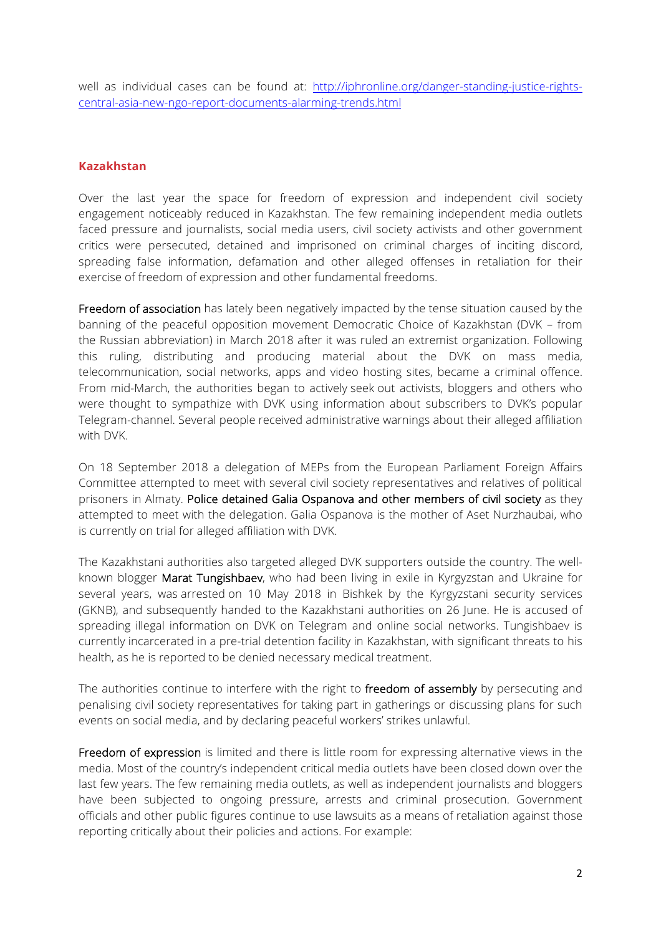well as individual cases can be found at: http://iphronline.org/danger-standing-justice-rightscentral-asia-new-ngo-report-documents-alarming-trends.html

#### **Kazakhstan**

Over the last year the space for freedom of expression and independent civil society engagement noticeably reduced in Kazakhstan. The few remaining independent media outlets faced pressure and journalists, social media users, civil society activists and other government critics were persecuted, detained and imprisoned on criminal charges of inciting discord, spreading false information, defamation and other alleged offenses in retaliation for their exercise of freedom of expression and other fundamental freedoms.

Freedom of association has lately been negatively impacted by the tense situation caused by the banning of the peaceful opposition movement Democratic Choice of Kazakhstan (DVK – from the Russian abbreviation) in March 2018 after it was ruled an extremist organization. Following this ruling, distributing and producing material about the DVK on mass media, telecommunication, social networks, apps and video hosting sites, became a criminal offence. From mid-March, the authorities began to actively seek out activists, bloggers and others who were thought to sympathize with DVK using information about subscribers to DVK's popular Telegram-channel. Several people received administrative warnings about their alleged affiliation with DVK.

On 18 September 2018 a delegation of MEPs from the European Parliament Foreign Affairs Committee attempted to meet with several civil society representatives and relatives of political prisoners in Almaty. Police detained Galia Ospanova and other members of civil society as they attempted to meet with the delegation. Galia Ospanova is the mother of Aset Nurzhaubai, who is currently on trial for alleged affiliation with DVK.

The Kazakhstani authorities also targeted alleged DVK supporters outside the country. The wellknown blogger Marat Tungishbaev, who had been living in exile in Kyrgyzstan and Ukraine for several years, was arrested on 10 May 2018 in Bishkek by the Kyrgyzstani security services (GKNB), and subsequently handed to the Kazakhstani authorities on 26 June. He is accused of spreading illegal information on DVK on Telegram and online social networks. Tungishbaev is currently incarcerated in a pre-trial detention facility in Kazakhstan, with significant threats to his health, as he is reported to be denied necessary medical treatment.

The authorities continue to interfere with the right to freedom of assembly by persecuting and penalising civil society representatives for taking part in gatherings or discussing plans for such events on social media, and by declaring peaceful workers' strikes unlawful.

Freedom of expression is limited and there is little room for expressing alternative views in the media. Most of the country's independent critical media outlets have been closed down over the last few years. The few remaining media outlets, as well as independent journalists and bloggers have been subjected to ongoing pressure, arrests and criminal prosecution. Government officials and other public figures continue to use lawsuits as a means of retaliation against those reporting critically about their policies and actions. For example: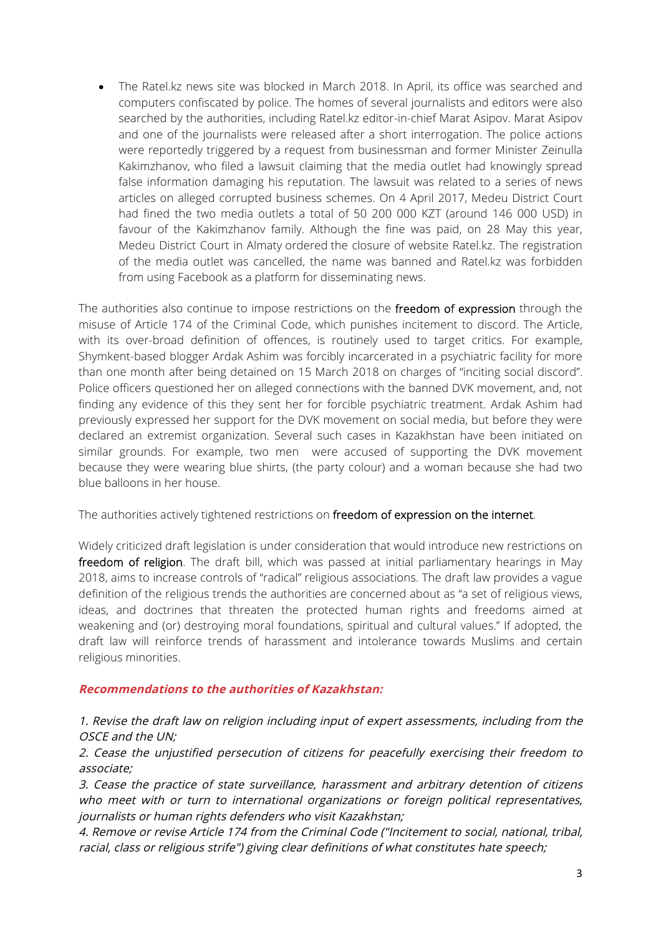• The Ratel.kz news site was blocked in March 2018. In April, its office was searched and computers confiscated by police. The homes of several journalists and editors were also searched by the authorities, including Ratel.kz editor-in-chief Marat Asipov. Marat Asipov and one of the journalists were released after a short interrogation. The police actions were reportedly triggered by a request from businessman and former Minister Zeinulla Kakimzhanov, who filed a lawsuit claiming that the media outlet had knowingly spread false information damaging his reputation. The lawsuit was related to a series of news articles on alleged corrupted business schemes. On 4 April 2017, Medeu District Court had fined the two media outlets a total of 50 200 000 KZT (around 146 000 USD) in favour of the Kakimzhanov family. Although the fine was paid, on 28 May this year, Medeu District Court in Almaty ordered the closure of website Ratel.kz. The registration of the media outlet was cancelled, the name was banned and Ratel.kz was forbidden from using Facebook as a platform for disseminating news.

The authorities also continue to impose restrictions on the freedom of expression through the misuse of Article 174 of the Criminal Code, which punishes incitement to discord. The Article, with its over-broad definition of offences, is routinely used to target critics. For example, Shymkent-based blogger Ardak Ashim was forcibly incarcerated in a psychiatric facility for more than one month after being detained on 15 March 2018 on charges of "inciting social discord". Police officers questioned her on alleged connections with the banned DVK movement, and, not finding any evidence of this they sent her for forcible psychiatric treatment. Ardak Ashim had previously expressed her support for the DVK movement on social media, but before they were declared an extremist organization. Several such cases in Kazakhstan have been initiated on similar grounds. For example, two men were accused of supporting the DVK movement because they were wearing blue shirts, (the party colour) and a woman because she had two blue balloons in her house.

The authorities actively tightened restrictions on freedom of expression on the internet.

Widely criticized draft legislation is under consideration that would introduce new restrictions on freedom of religion. The draft bill, which was passed at initial parliamentary hearings in May 2018, aims to increase controls of "radical" religious associations. The draft law provides a vague definition of the religious trends the authorities are concerned about as "a set of religious views, ideas, and doctrines that threaten the protected human rights and freedoms aimed at weakening and (or) destroying moral foundations, spiritual and cultural values." If adopted, the draft law will reinforce trends of harassment and intolerance towards Muslims and certain religious minorities.

### **Recommendations to the authorities of Kazakhstan:**

1. Revise the draft law on religion including input of expert assessments, including from the OSCE and the UN;

2. Cease the unjustified persecution of citizens for peacefully exercising their freedom to associate;

3. Cease the practice of state surveillance, harassment and arbitrary detention of citizens who meet with or turn to international organizations or foreign political representatives, journalists or human rights defenders who visit Kazakhstan;

4. Remove or revise Article 174 from the Criminal Code ("Incitement to social, national, tribal, racial, class or religious strife") giving clear definitions of what constitutes hate speech;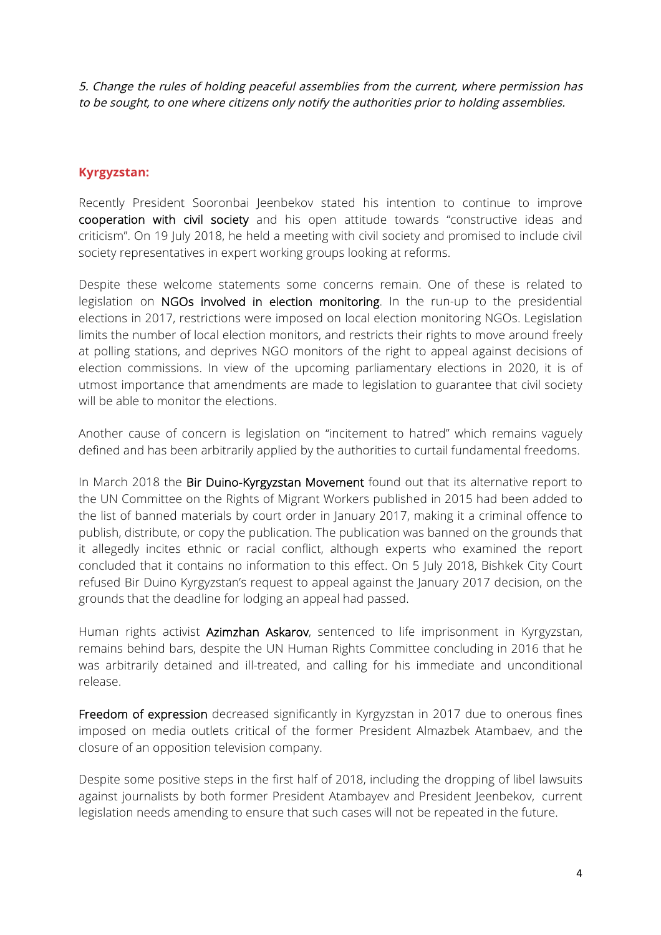5. Change the rules of holding peaceful assemblies from the current, where permission has to be sought, to one where citizens only notify the authorities prior to holding assemblies.

## **Kyrgyzstan:**

Recently President Sooronbai Jeenbekov stated his intention to continue to improve cooperation with civil society and his open attitude towards "constructive ideas and criticism". On 19 July 2018, he held a meeting with civil society and promised to include civil society representatives in expert working groups looking at reforms.

Despite these welcome statements some concerns remain. One of these is related to legislation on NGOs involved in election monitoring. In the run-up to the presidential elections in 2017, restrictions were imposed on local election monitoring NGOs. Legislation limits the number of local election monitors, and restricts their rights to move around freely at polling stations, and deprives NGO monitors of the right to appeal against decisions of election commissions. In view of the upcoming parliamentary elections in 2020, it is of utmost importance that amendments are made to legislation to guarantee that civil society will be able to monitor the elections.

Another cause of concern is legislation on "incitement to hatred" which remains vaguely defined and has been arbitrarily applied by the authorities to curtail fundamental freedoms.

In March 2018 the Bir Duino-Kyrgyzstan Movement found out that its alternative report to the UN Committee on the Rights of Migrant Workers published in 2015 had been added to the list of banned materials by court order in January 2017, making it a criminal offence to publish, distribute, or copy the publication. The publication was banned on the grounds that it allegedly incites ethnic or racial conflict, although experts who examined the report concluded that it contains no information to this effect. On 5 July 2018, Bishkek City Court refused Bir Duino Kyrgyzstan's request to appeal against the January 2017 decision, on the grounds that the deadline for lodging an appeal had passed.

Human rights activist Azimzhan Askarov, sentenced to life imprisonment in Kyrgyzstan, remains behind bars, despite the UN Human Rights Committee concluding in 2016 that he was arbitrarily detained and ill-treated, and calling for his immediate and unconditional release.

Freedom of expression decreased significantly in Kyrgyzstan in 2017 due to onerous fines imposed on media outlets critical of the former President Almazbek Atambaev, and the closure of an opposition television company.

Despite some positive steps in the first half of 2018, including the dropping of libel lawsuits against journalists by both former President Atambayev and President Jeenbekov, current legislation needs amending to ensure that such cases will not be repeated in the future.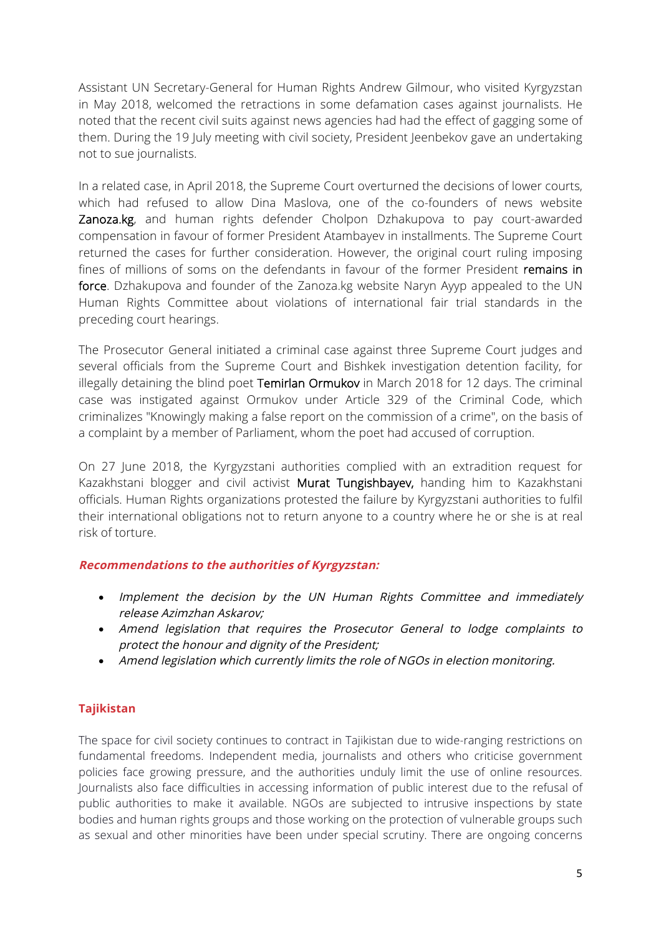Assistant UN Secretary-General for Human Rights Andrew Gilmour, who visited Kyrgyzstan in May 2018, welcomed the retractions in some defamation cases against journalists. He noted that the recent civil suits against news agencies had had the effect of gagging some of them. During the 19 July meeting with civil society, President Jeenbekov gave an undertaking not to sue journalists.

In a related case, in April 2018, the Supreme Court overturned the decisions of lower courts, which had refused to allow Dina Maslova, one of the co-founders of news website Zanoza.kg, and human rights defender Cholpon Dzhakupova to pay court-awarded compensation in favour of former President Atambayev in installments. The Supreme Court returned the cases for further consideration. However, the original court ruling imposing fines of millions of soms on the defendants in favour of the former President remains in force. Dzhakupova and founder of the Zanoza.kg website Naryn Ayyp appealed to the UN Human Rights Committee about violations of international fair trial standards in the preceding court hearings.

The Prosecutor General initiated a criminal case against three Supreme Court judges and several officials from the Supreme Court and Bishkek investigation detention facility, for illegally detaining the blind poet Temirlan Ormukov in March 2018 for 12 days. The criminal case was instigated against Ormukov under Article 329 of the Criminal Code, which criminalizes "Knowingly making a false report on the commission of a crime", on the basis of a complaint by a member of Parliament, whom the poet had accused of corruption.

On 27 June 2018, the Kyrgyzstani authorities complied with an extradition request for Kazakhstani blogger and civil activist Murat Tungishbayev, handing him to Kazakhstani officials. Human Rights organizations protested the failure by Kyrgyzstani authorities to fulfil their international obligations not to return anyone to a country where he or she is at real risk of torture.

### **Recommendations to the authorities of Kyrgyzstan:**

- Implement the decision by the UN Human Rights Committee and immediately release Azimzhan Askarov;
- Amend legislation that requires the Prosecutor General to lodge complaints to protect the honour and dignity of the President;
- Amend legislation which currently limits the role of NGOs in election monitoring.

### **Tajikistan**

The space for civil society continues to contract in Tajikistan due to wide-ranging restrictions on fundamental freedoms. Independent media, journalists and others who criticise government policies face growing pressure, and the authorities unduly limit the use of online resources. Journalists also face difficulties in accessing information of public interest due to the refusal of public authorities to make it available. NGOs are subjected to intrusive inspections by state bodies and human rights groups and those working on the protection of vulnerable groups such as sexual and other minorities have been under special scrutiny. There are ongoing concerns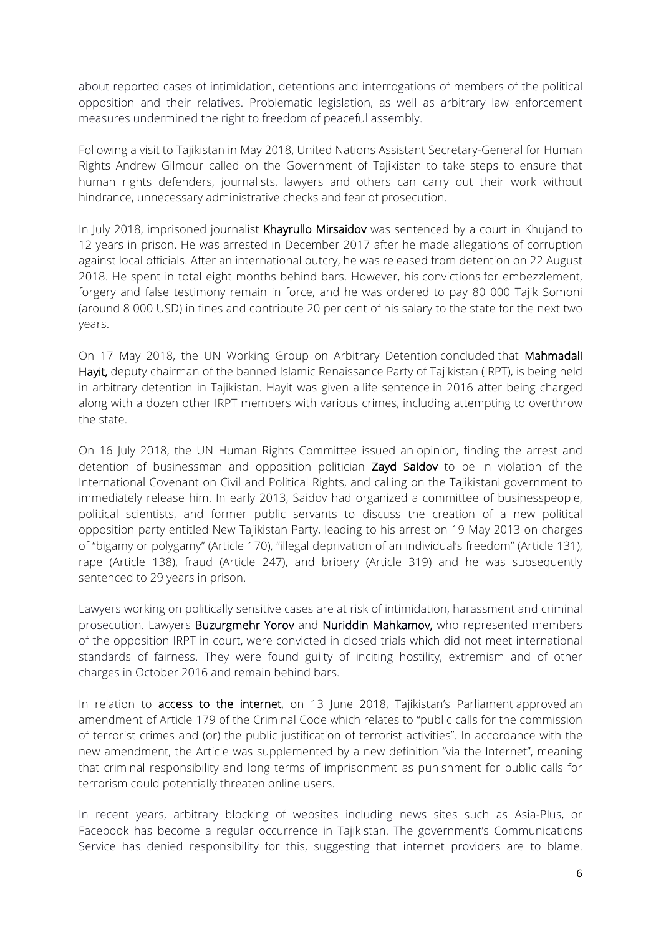about reported cases of intimidation, detentions and interrogations of members of the political opposition and their relatives. Problematic legislation, as well as arbitrary law enforcement measures undermined the right to freedom of peaceful assembly.

Following a visit to Tajikistan in May 2018, United Nations Assistant Secretary-General for Human Rights Andrew Gilmour called on the Government of Tajikistan to take steps to ensure that human rights defenders, journalists, lawyers and others can carry out their work without hindrance, unnecessary administrative checks and fear of prosecution.

In July 2018, imprisoned journalist Khayrullo Mirsaidov was sentenced by a court in Khujand to 12 years in prison. He was arrested in December 2017 after he made allegations of corruption against local officials. After an international outcry, he was released from detention on 22 August 2018. He spent in total eight months behind bars. However, his convictions for embezzlement, forgery and false testimony remain in force, and he was ordered to pay 80 000 Tajik Somoni (around 8 000 USD) in fines and contribute 20 per cent of his salary to the state for the next two years.

On 17 May 2018, the UN Working Group on Arbitrary Detention concluded that Mahmadali Hayit, deputy chairman of the banned Islamic Renaissance Party of Tajikistan (IRPT), is being held in arbitrary detention in Tajikistan. Hayit was given a life sentence in 2016 after being charged along with a dozen other IRPT members with various crimes, including attempting to overthrow the state.

On 16 July 2018, the UN Human Rights Committee issued an opinion, finding the arrest and detention of businessman and opposition politician Zayd Saidov to be in violation of the International Covenant on Civil and Political Rights, and calling on the Tajikistani government to immediately release him. In early 2013, Saidov had organized a committee of businesspeople, political scientists, and former public servants to discuss the creation of a new political opposition party entitled New Tajikistan Party, leading to his arrest on 19 May 2013 on charges of "bigamy or polygamy" (Article 170), "illegal deprivation of an individual's freedom" (Article 131), rape (Article 138), fraud (Article 247), and bribery (Article 319) and he was subsequently sentenced to 29 years in prison.

Lawyers working on politically sensitive cases are at risk of intimidation, harassment and criminal prosecution. Lawyers Buzurgmehr Yorov and Nuriddin Mahkamov, who represented members of the opposition IRPT in court, were convicted in closed trials which did not meet international standards of fairness. They were found guilty of inciting hostility, extremism and of other charges in October 2016 and remain behind bars.

In relation to **access to the internet**, on 13 June 2018, Tajikistan's Parliament approved an amendment of Article 179 of the Criminal Code which relates to "public calls for the commission of terrorist crimes and (or) the public justification of terrorist activities". In accordance with the new amendment, the Article was supplemented by a new definition "via the Internet", meaning that criminal responsibility and long terms of imprisonment as punishment for public calls for terrorism could potentially threaten online users.

In recent years, arbitrary blocking of websites including news sites such as Asia-Plus, or Facebook has become a regular occurrence in Tajikistan. The government's Communications Service has denied responsibility for this, suggesting that internet providers are to blame.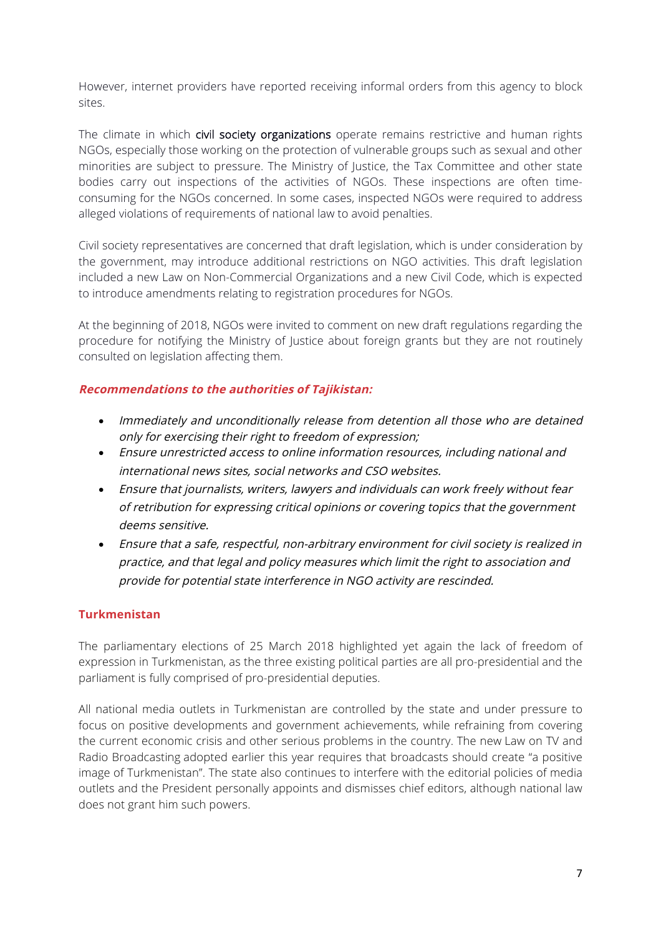However, internet providers have reported receiving informal orders from this agency to block sites.

The climate in which civil society organizations operate remains restrictive and human rights NGOs, especially those working on the protection of vulnerable groups such as sexual and other minorities are subject to pressure. The Ministry of Justice, the Tax Committee and other state bodies carry out inspections of the activities of NGOs. These inspections are often timeconsuming for the NGOs concerned. In some cases, inspected NGOs were required to address alleged violations of requirements of national law to avoid penalties.

Civil society representatives are concerned that draft legislation, which is under consideration by the government, may introduce additional restrictions on NGO activities. This draft legislation included a new Law on Non-Commercial Organizations and a new Civil Code, which is expected to introduce amendments relating to registration procedures for NGOs.

At the beginning of 2018, NGOs were invited to comment on new draft regulations regarding the procedure for notifying the Ministry of Justice about foreign grants but they are not routinely consulted on legislation affecting them.

### **Recommendations to the authorities of Tajikistan:**

- Immediately and unconditionally release from detention all those who are detained only for exercising their right to freedom of expression;
- Ensure unrestricted access to online information resources, including national and international news sites, social networks and CSO websites.
- Ensure that journalists, writers, lawyers and individuals can work freely without fear of retribution for expressing critical opinions or covering topics that the government deems sensitive.
- Ensure that <sup>a</sup> safe, respectful, non-arbitrary environment for civil society is realized in practice, and that legal and policy measures which limit the right to association and provide for potential state interference in NGO activity are rescinded.

### **Turkmenistan**

The parliamentary elections of 25 March 2018 highlighted yet again the lack of freedom of expression in Turkmenistan, as the three existing political parties are all pro-presidential and the parliament is fully comprised of pro-presidential deputies.

All national media outlets in Turkmenistan are controlled by the state and under pressure to focus on positive developments and government achievements, while refraining from covering the current economic crisis and other serious problems in the country. The new Law on TV and Radio Broadcasting adopted earlier this year requires that broadcasts should create "a positive image of Turkmenistan". The state also continues to interfere with the editorial policies of media outlets and the President personally appoints and dismisses chief editors, although national law does not grant him such powers.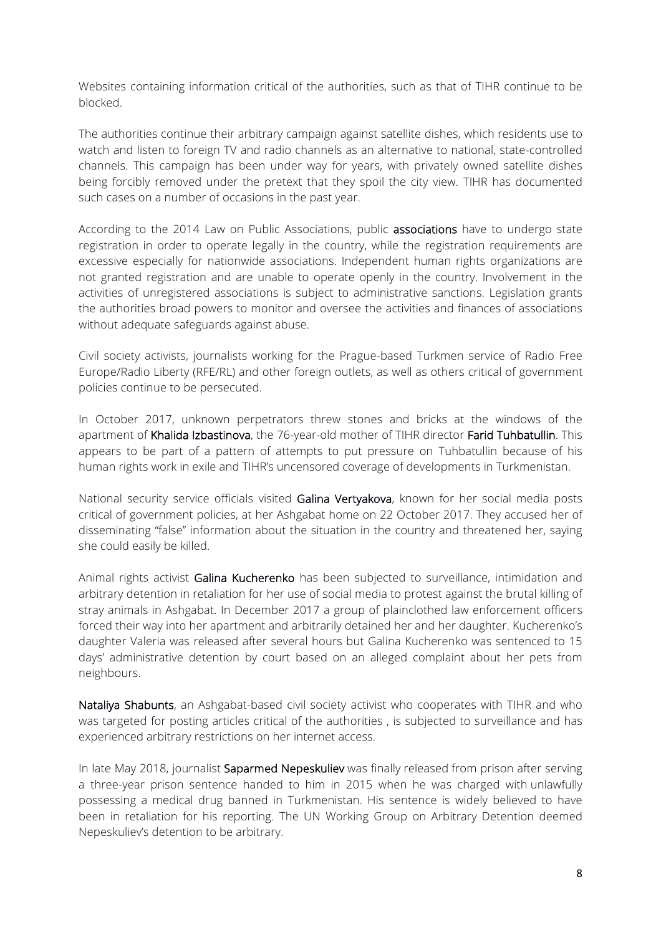Websites containing information critical of the authorities, such as that of TIHR continue to be blocked.

The authorities continue their arbitrary campaign against satellite dishes, which residents use to watch and listen to foreign TV and radio channels as an alternative to national, state-controlled channels. This campaign has been under way for years, with privately owned satellite dishes being forcibly removed under the pretext that they spoil the city view. TIHR has documented such cases on a number of occasions in the past year.

According to the 2014 Law on Public Associations, public associations have to undergo state registration in order to operate legally in the country, while the registration requirements are excessive especially for nationwide associations. Independent human rights organizations are not granted registration and are unable to operate openly in the country. Involvement in the activities of unregistered associations is subject to administrative sanctions. Legislation grants the authorities broad powers to monitor and oversee the activities and finances of associations without adequate safeguards against abuse.

Civil society activists, journalists working for the Prague-based Turkmen service of Radio Free Europe/Radio Liberty (RFE/RL) and other foreign outlets, as well as others critical of government policies continue to be persecuted.

In October 2017, unknown perpetrators threw stones and bricks at the windows of the apartment of Khalida Izbastinova, the 76-year-old mother of TIHR director Farid Tuhbatullin. This appears to be part of a pattern of attempts to put pressure on Tuhbatullin because of his human rights work in exile and TIHR's uncensored coverage of developments in Turkmenistan.

National security service officials visited Galina Vertyakova, known for her social media posts critical of government policies, at her Ashgabat home on 22 October 2017. They accused her of disseminating "false" information about the situation in the country and threatened her, saying she could easily be killed.

Animal rights activist Galina Kucherenko has been subjected to surveillance, intimidation and arbitrary detention in retaliation for her use of social media to protest against the brutal killing of stray animals in Ashgabat. In December 2017 a group of plainclothed law enforcement officers forced their way into her apartment and arbitrarily detained her and her daughter. Kucherenko's daughter Valeria was released after several hours but Galina Kucherenko was sentenced to 15 days' administrative detention by court based on an alleged complaint about her pets from neighbours.

Nataliya Shabunts, an Ashgabat-based civil society activist who cooperates with TIHR and who was targeted for posting articles critical of the authorities , is subjected to surveillance and has experienced arbitrary restrictions on her internet access.

In late May 2018, journalist Saparmed Nepeskuliev was finally released from prison after serving a three-year prison sentence handed to him in 2015 when he was charged with unlawfully possessing a medical drug banned in Turkmenistan. His sentence is widely believed to have been in retaliation for his reporting. The UN Working Group on Arbitrary Detention deemed Nepeskuliev's detention to be arbitrary.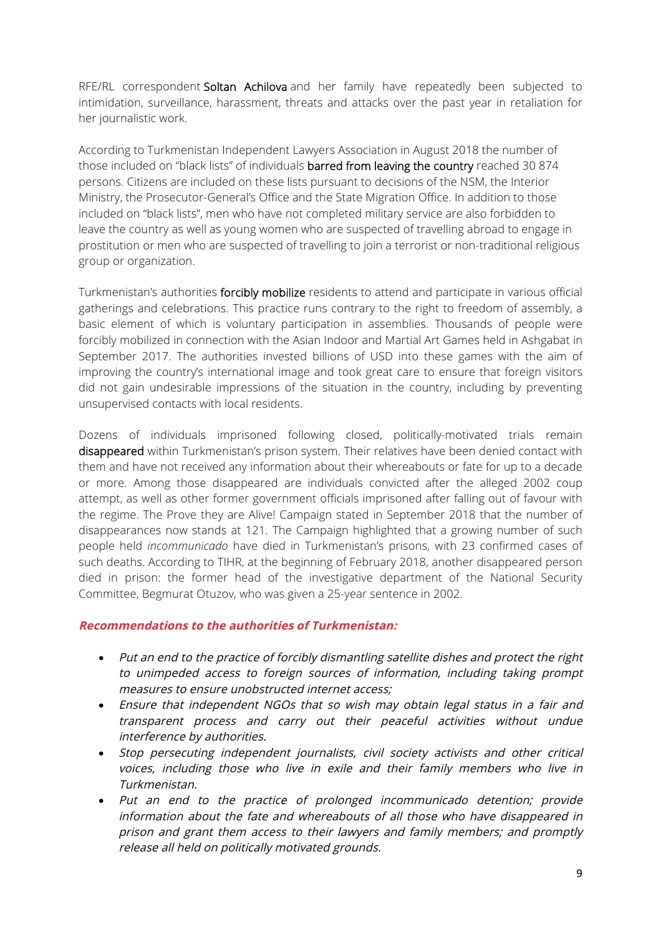RFE/RL correspondent Soltan Achilova and her family have repeatedly been subjected to intimidation, surveillance, harassment, threats and attacks over the past year in retaliation for her journalistic work.

According to Turkmenistan Independent Lawyers Association in August 2018 the number of those included on "black lists" of individuals barred from leaving the country reached 30 874 persons. Citizens are included on these lists pursuant to decisions of the NSM, the Interior Ministry, the Prosecutor-General's Office and the State Migration Office. In addition to those included on "black lists", men who have not completed military service are also forbidden to leave the country as well as young women who are suspected of travelling abroad to engage in prostitution or men who are suspected of travelling to join a terrorist or non-traditional religious group or organization.

Turkmenistan's authorities forcibly mobilize residents to attend and participate in various official gatherings and celebrations. This practice runs contrary to the right to freedom of assembly, a basic element of which is voluntary participation in assemblies. Thousands of people were forcibly mobilized in connection with the Asian Indoor and Martial Art Games held in Ashgabat in September 2017. The authorities invested billions of USD into these games with the aim of improving the country's international image and took great care to ensure that foreign visitors did not gain undesirable impressions of the situation in the country, including by preventing unsupervised contacts with local residents.

Dozens of individuals imprisoned following closed, politically-motivated trials remain disappeared within Turkmenistan's prison system. Their relatives have been denied contact with them and have not received any information about their whereabouts or fate for up to a decade or more. Among those disappeared are individuals convicted after the alleged 2002 coup attempt, as well as other former government officials imprisoned after falling out of favour with the regime. The Prove they are Alive! Campaign stated in September 2018 that the number of disappearances now stands at 121. The Campaign highlighted that a growing number of such people held *incommunicado* have died in Turkmenistan's prisons, with 23 confirmed cases of such deaths. According to TIHR, at the beginning of February 2018, another disappeared person died in prison: the former head of the investigative department of the National Security Committee, Begmurat Otuzov, who was given a 25-year sentence in 2002.

### **Recommendations to the authorities of Turkmenistan:**

- Put an end to the practice of forcibly dismantling satellite dishes and protect the right to unimpeded access to foreign sources of information, including taking prompt measures to ensure unobstructed internet access;
- Ensure that independent NGOs that so wish may obtain legal status in a fair and transparent process and carry out their peaceful activities without undue interference by authorities.
- Stop persecuting independent journalists, civil society activists and other critical voices, including those who live in exile and their family members who live in Turkmenistan.
- Put an end to the practice of prolonged incommunicado detention; provide information about the fate and whereabouts of all those who have disappeared in prison and grant them access to their lawyers and family members; and promptly release all held on politically motivated grounds.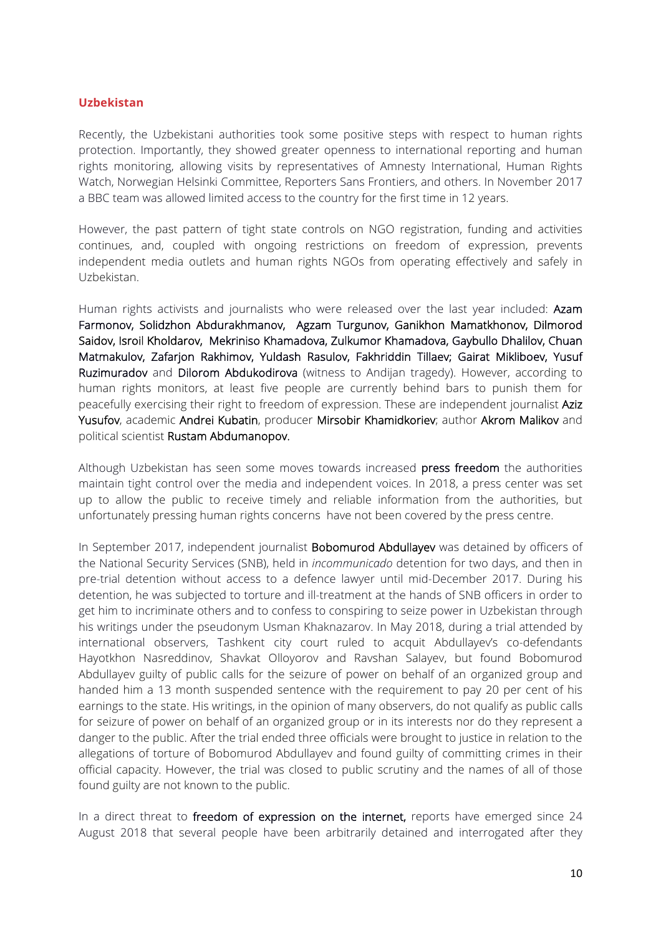#### **Uzbekistan**

Recently, the Uzbekistani authorities took some positive steps with respect to human rights protection. Importantly, they showed greater openness to international reporting and human rights monitoring, allowing visits by representatives of Amnesty International, Human Rights Watch, Norwegian Helsinki Committee, Reporters Sans Frontiers, and others. In November 2017 a BBC team was allowed limited access to the country for the first time in 12 years.

However, the past pattern of tight state controls on NGO registration, funding and activities continues, and, coupled with ongoing restrictions on freedom of expression, prevents independent media outlets and human rights NGOs from operating effectively and safely in Uzbekistan.

Human rights activists and journalists who were released over the last year included: Azam Farmonov, Solidzhon Abdurakhmanov, Agzam Turgunov, Ganikhon Mamatkhonov, Dilmorod Saidov, Isroil Kholdarov, Mekriniso Khamadova, Zulkumor Khamadova, Gaybullo Dhalilov, Chuan Matmakulov, Zafarjon Rakhimov, Yuldash Rasulov, Fakhriddin Tillaev; Gairat Mikliboev, Yusuf Ruzimuradov and Dilorom Abdukodirova (witness to Andijan tragedy). However, according to human rights monitors, at least five people are currently behind bars to punish them for peacefully exercising their right to freedom of expression. These are independent journalist Aziz Yusufov, academic Andrei Kubatin, producer Mirsobir Khamidkoriev; author Akrom Malikov and political scientist Rustam Abdumanopov.

Although Uzbekistan has seen some moves towards increased press freedom the authorities maintain tight control over the media and independent voices. In 2018, a press center was set up to allow the public to receive timely and reliable information from the authorities, but unfortunately pressing human rights concerns have not been covered by the press centre.

In September 2017, independent journalist **Bobomurod Abdullayev** was detained by officers of the National Security Services (SNB), held in *incommunicado* detention for two days, and then in pre-trial detention without access to a defence lawyer until mid-December 2017. During his detention, he was subjected to torture and ill-treatment at the hands of SNB officers in order to get him to incriminate others and to confess to conspiring to seize power in Uzbekistan through his writings under the pseudonym Usman Khaknazarov. In May 2018, during a trial attended by international observers, Tashkent city court ruled to acquit Abdullayev's co-defendants Hayotkhon Nasreddinov, Shavkat Olloyorov and Ravshan Salayev, but found Bobomurod Abdullayev guilty of public calls for the seizure of power on behalf of an organized group and handed him a 13 month suspended sentence with the requirement to pay 20 per cent of his earnings to the state. His writings, in the opinion of many observers, do not qualify as public calls for seizure of power on behalf of an organized group or in its interests nor do they represent a danger to the public. After the trial ended three officials were brought to justice in relation to the allegations of torture of Bobomurod Abdullayev and found guilty of committing crimes in their official capacity. However, the trial was closed to public scrutiny and the names of all of those found guilty are not known to the public.

In a direct threat to freedom of expression on the internet, reports have emerged since 24 August 2018 that several people have been arbitrarily detained and interrogated after they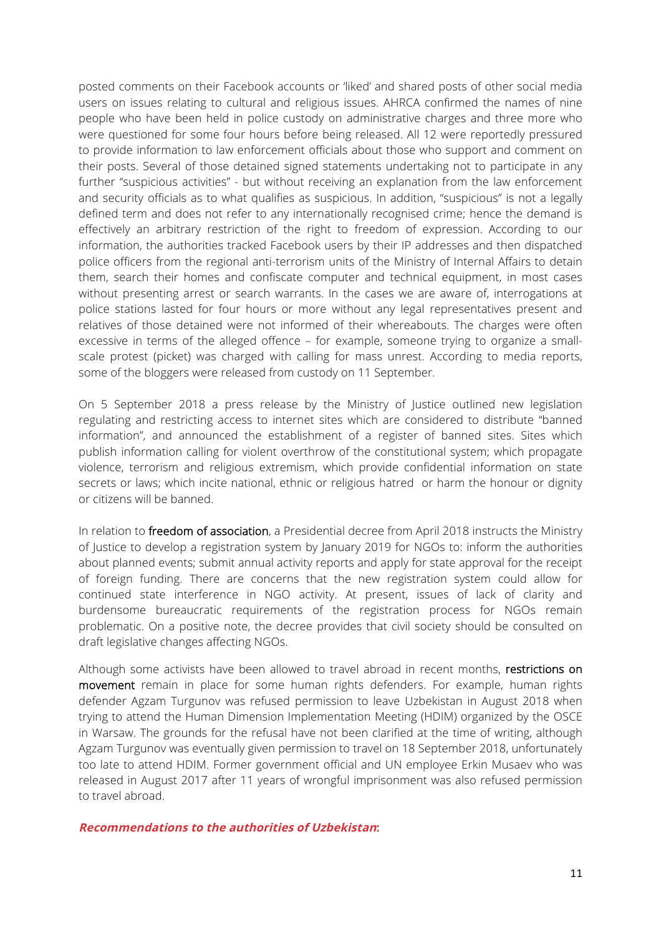posted comments on their Facebook accounts or 'liked' and shared posts of other social media users on issues relating to cultural and religious issues. AHRCA confirmed the names of nine people who have been held in police custody on administrative charges and three more who were questioned for some four hours before being released. All 12 were reportedly pressured to provide information to law enforcement officials about those who support and comment on their posts. Several of those detained signed statements undertaking not to participate in any further "suspicious activities" - but without receiving an explanation from the law enforcement and security officials as to what qualifies as suspicious. In addition, "suspicious" is not a legally defined term and does not refer to any internationally recognised crime; hence the demand is effectively an arbitrary restriction of the right to freedom of expression. According to our information, the authorities tracked Facebook users by their IP addresses and then dispatched police officers from the regional anti-terrorism units of the Ministry of Internal Affairs to detain them, search their homes and confiscate computer and technical equipment, in most cases without presenting arrest or search warrants. In the cases we are aware of, interrogations at police stations lasted for four hours or more without any legal representatives present and relatives of those detained were not informed of their whereabouts. The charges were often excessive in terms of the alleged offence – for example, someone trying to organize a smallscale protest (picket) was charged with calling for mass unrest. According to media reports, some of the bloggers were released from custody on 11 September.

On 5 September 2018 a press release by the Ministry of Justice outlined new legislation regulating and restricting access to internet sites which are considered to distribute "banned information", and announced the establishment of a register of banned sites. Sites which publish information calling for violent overthrow of the constitutional system; which propagate violence, terrorism and religious extremism, which provide confidential information on state secrets or laws; which incite national, ethnic or religious hatred or harm the honour or dignity or citizens will be banned.

In relation to freedom of association, a Presidential decree from April 2018 instructs the Ministry of Justice to develop a registration system by January 2019 for NGOs to: inform the authorities about planned events; submit annual activity reports and apply for state approval for the receipt of foreign funding. There are concerns that the new registration system could allow for continued state interference in NGO activity. At present, issues of lack of clarity and burdensome bureaucratic requirements of the registration process for NGOs remain problematic. On a positive note, the decree provides that civil society should be consulted on draft legislative changes affecting NGOs.

Although some activists have been allowed to travel abroad in recent months, restrictions on movement remain in place for some human rights defenders. For example, human rights defender Agzam Turgunov was refused permission to leave Uzbekistan in August 2018 when trying to attend the Human Dimension Implementation Meeting (HDIM) organized by the OSCE in Warsaw. The grounds for the refusal have not been clarified at the time of writing, although Agzam Turgunov was eventually given permission to travel on 18 September 2018, unfortunately too late to attend HDIM. Former government official and UN employee Erkin Musaev who was released in August 2017 after 11 years of wrongful imprisonment was also refused permission to travel abroad.

#### **Recommendations to the authorities of Uzbekistan:**